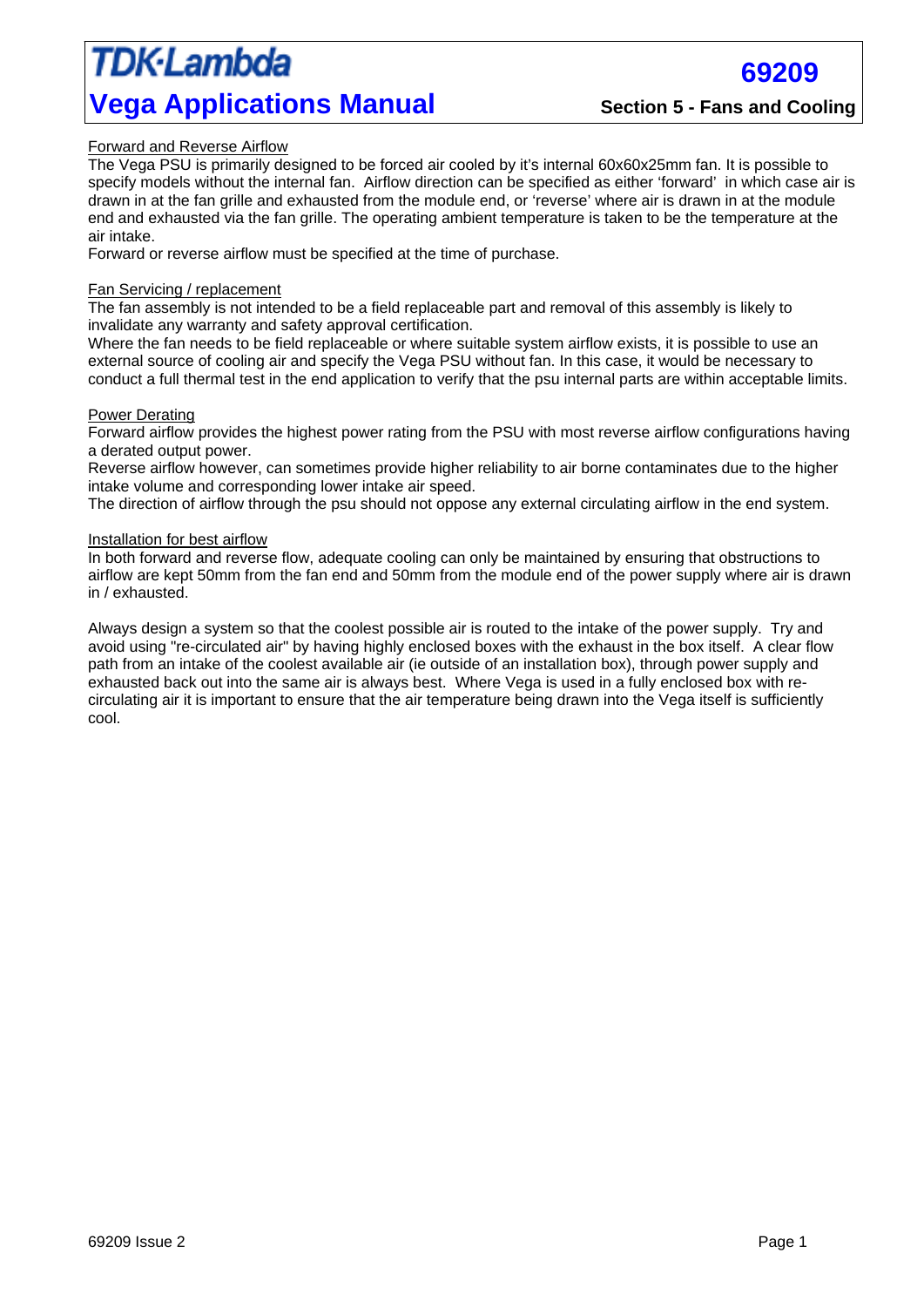## TDK·Lambda **Vega Applications Manual Section 5 - Fans and Cooling**

**69209** 

### Forward and Reverse Airflow

The Vega PSU is primarily designed to be forced air cooled by it's internal 60x60x25mm fan. It is possible to specify models without the internal fan. Airflow direction can be specified as either 'forward' in which case air is drawn in at the fan grille and exhausted from the module end, or 'reverse' where air is drawn in at the module end and exhausted via the fan grille. The operating ambient temperature is taken to be the temperature at the air intake.

Forward or reverse airflow must be specified at the time of purchase.

#### Fan Servicing / replacement

The fan assembly is not intended to be a field replaceable part and removal of this assembly is likely to invalidate any warranty and safety approval certification.

Where the fan needs to be field replaceable or where suitable system airflow exists, it is possible to use an external source of cooling air and specify the Vega PSU without fan. In this case, it would be necessary to conduct a full thermal test in the end application to verify that the psu internal parts are within acceptable limits.

#### Power Derating

Forward airflow provides the highest power rating from the PSU with most reverse airflow configurations having a derated output power.

Reverse airflow however, can sometimes provide higher reliability to air borne contaminates due to the higher intake volume and corresponding lower intake air speed.

The direction of airflow through the psu should not oppose any external circulating airflow in the end system.

#### Installation for best airflow

In both forward and reverse flow, adequate cooling can only be maintained by ensuring that obstructions to airflow are kept 50mm from the fan end and 50mm from the module end of the power supply where air is drawn in / exhausted.

Always design a system so that the coolest possible air is routed to the intake of the power supply. Try and avoid using "re-circulated air" by having highly enclosed boxes with the exhaust in the box itself. A clear flow path from an intake of the coolest available air (ie outside of an installation box), through power supply and exhausted back out into the same air is always best. Where Vega is used in a fully enclosed box with recirculating air it is important to ensure that the air temperature being drawn into the Vega itself is sufficiently cool.